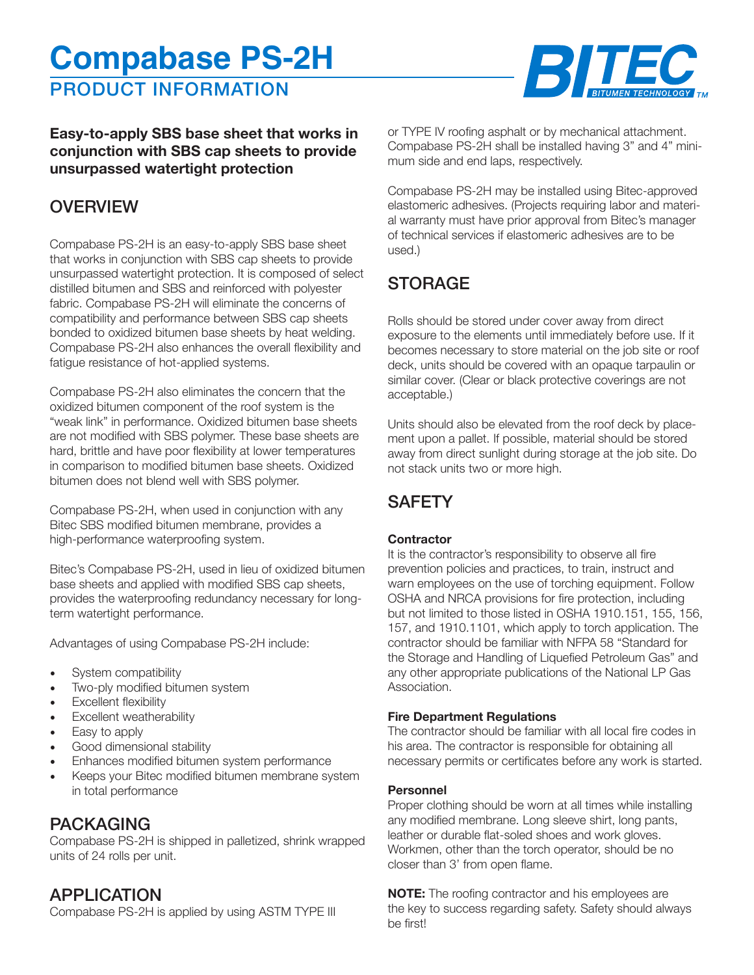# **Compabase PS-2H**

PRODUCT INFORMATION



**Easy-to-apply SBS base sheet that works in conjunction with SBS cap sheets to provide unsurpassed watertight protection**

# **OVERVIEW**

Compabase PS-2H is an easy-to-apply SBS base sheet that works in conjunction with SBS cap sheets to provide unsurpassed watertight protection. It is composed of select distilled bitumen and SBS and reinforced with polyester fabric. Compabase PS-2H will eliminate the concerns of compatibility and performance between SBS cap sheets bonded to oxidized bitumen base sheets by heat welding. Compabase PS-2H also enhances the overall flexibility and fatigue resistance of hot-applied systems.

Compabase PS-2H also eliminates the concern that the oxidized bitumen component of the roof system is the "weak link" in performance. Oxidized bitumen base sheets are not modified with SBS polymer. These base sheets are hard, brittle and have poor flexibility at lower temperatures in comparison to modified bitumen base sheets. Oxidized bitumen does not blend well with SBS polymer.

Compabase PS-2H, when used in conjunction with any Bitec SBS modified bitumen membrane, provides a high-performance waterproofing system.

Bitec's Compabase PS-2H, used in lieu of oxidized bitumen base sheets and applied with modified SBS cap sheets, provides the waterproofing redundancy necessary for longterm watertight performance.

Advantages of using Compabase PS-2H include:

- System compatibility
- Two-ply modified bitumen system
- Excellent flexibility
- Excellent weatherability
- Easy to apply
- Good dimensional stability
- Enhances modified bitumen system performance
- Keeps your Bitec modified bitumen membrane system in total performance

## PACKAGING

Compabase PS-2H is shipped in palletized, shrink wrapped units of 24 rolls per unit.

## APPLICATION

Compabase PS-2H is applied by using ASTM TYPE III

or TYPE IV roofing asphalt or by mechanical attachment. Compabase PS-2H shall be installed having 3" and 4" minimum side and end laps, respectively.

Compabase PS-2H may be installed using Bitec-approved elastomeric adhesives. (Projects requiring labor and material warranty must have prior approval from Bitec's manager of technical services if elastomeric adhesives are to be used.)

# STORAGE

Rolls should be stored under cover away from direct exposure to the elements until immediately before use. If it becomes necessary to store material on the job site or roof deck, units should be covered with an opaque tarpaulin or similar cover. (Clear or black protective coverings are not acceptable.)

Units should also be elevated from the roof deck by placement upon a pallet. If possible, material should be stored away from direct sunlight during storage at the job site. Do not stack units two or more high.

# **SAFFTY**

#### **Contractor**

It is the contractor's responsibility to observe all fire prevention policies and practices, to train, instruct and warn employees on the use of torching equipment. Follow OSHA and NRCA provisions for fire protection, including but not limited to those listed in OSHA 1910.151, 155, 156, 157, and 1910.1101, which apply to torch application. The contractor should be familiar with NFPA 58 "Standard for the Storage and Handling of Liquefied Petroleum Gas" and any other appropriate publications of the National LP Gas Association.

#### **Fire Department Regulations**

The contractor should be familiar with all local fire codes in his area. The contractor is responsible for obtaining all necessary permits or certificates before any work is started.

#### **Personnel**

Proper clothing should be worn at all times while installing any modified membrane. Long sleeve shirt, long pants, leather or durable flat-soled shoes and work gloves. Workmen, other than the torch operator, should be no closer than 3' from open flame.

**NOTE:** The roofing contractor and his employees are the key to success regarding safety. Safety should always be first!